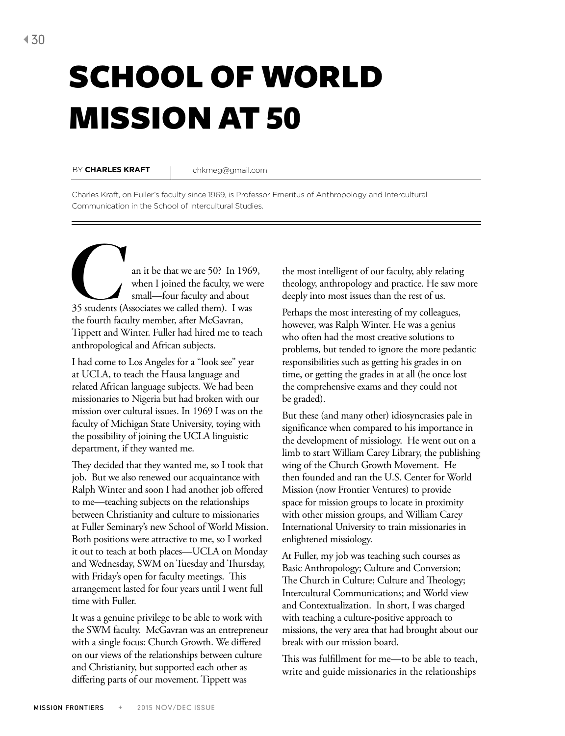## SCHOOL OF WORLD MISSION AT 50

BY CHARLES KRAFT | chkmeg@gmail.com

Charles Kraft, on Fuller's faculty since 1969, is Professor Emeritus of Anthropology and Intercultural Communication in the School of Intercultural Studies.

an it be that we are 50? In 1969,<br>
when I joined the faculty, we were<br>
35 students (Associates we called them). I was when I joined the faculty, we were small—four faculty and about the fourth faculty member, after McGavran, Tippett and Winter. Fuller had hired me to teach anthropological and African subjects.

I had come to Los Angeles for a "look see" year at UCLA, to teach the Hausa language and related African language subjects. We had been missionaries to Nigeria but had broken with our mission over cultural issues. In 1969 I was on the faculty of Michigan State University, toying with the possibility of joining the UCLA linguistic department, if they wanted me.

They decided that they wanted me, so I took that job. But we also renewed our acquaintance with Ralph Winter and soon I had another job offered to me—teaching subjects on the relationships between Christianity and culture to missionaries at Fuller Seminary's new School of World Mission. Both positions were attractive to me, so I worked it out to teach at both places—UCLA on Monday and Wednesday, SWM on Tuesday and Thursday, with Friday's open for faculty meetings. This arrangement lasted for four years until I went full time with Fuller.

It was a genuine privilege to be able to work with the SWM faculty. McGavran was an entrepreneur with a single focus: Church Growth. We differed on our views of the relationships between culture and Christianity, but supported each other as differing parts of our movement. Tippett was

the most intelligent of our faculty, ably relating theology, anthropology and practice. He saw more deeply into most issues than the rest of us.

Perhaps the most interesting of my colleagues, however, was Ralph Winter. He was a genius who often had the most creative solutions to problems, but tended to ignore the more pedantic responsibilities such as getting his grades in on time, or getting the grades in at all (he once lost the comprehensive exams and they could not be graded).

But these (and many other) idiosyncrasies pale in significance when compared to his importance in the development of missiology. He went out on a limb to start William Carey Library, the publishing wing of the Church Growth Movement. He then founded and ran the U.S. Center for World Mission (now Frontier Ventures) to provide space for mission groups to locate in proximity with other mission groups, and William Carey International University to train missionaries in enlightened missiology.

At Fuller, my job was teaching such courses as Basic Anthropology; Culture and Conversion; The Church in Culture; Culture and Theology; Intercultural Communications; and World view and Contextualization. In short, I was charged with teaching a culture-positive approach to missions, the very area that had brought about our break with our mission board.

This was fulfillment for me—to be able to teach, write and guide missionaries in the relationships